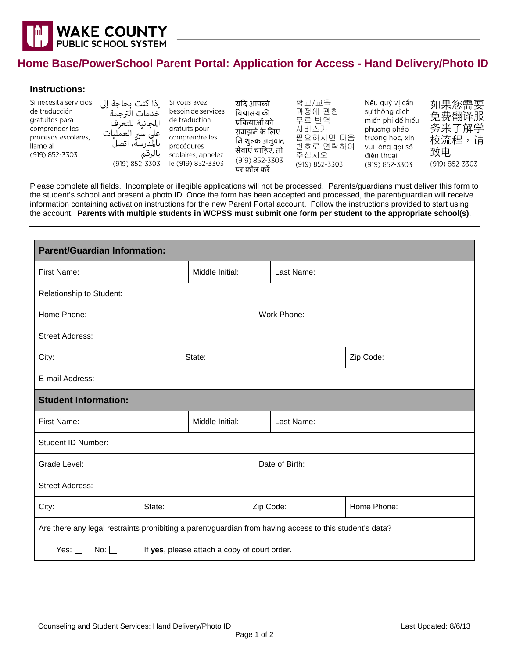

## **Home Base/PowerSchool Parent Portal: Application for Access - Hand Delivery/Photo ID**

## **Instructions:**

| Si necesita servicios<br>de traducción<br>gratuitos para<br>comprender los<br>procesos escolares.<br>llame al<br>(919) 852-3303 | إذا كنت بحاجة إلى<br>خدمات الترحمة<br>المجانية للتعرف<br>على سير العمليات<br>ىالمدرسة، اتصل<br>بالرقم<br>(919) 852-3303 | Si vous avez<br>besoin de services<br>de traduction<br>gratuits pour<br>comprendre les<br>procédures<br>scolaires, appelez<br>le (919) 852-3303 | यदि आपको<br>वियालय की<br>प्रक्रियाओं को<br>समझने के लिए<br>नि:शुल्क अनुवाद<br>सेवाएं चाहिए, तो<br>(919) 852-3303<br>पर कॉल करें | 학교/교육<br>과정에 관한<br>무료 번역<br>서비스가<br>필요하시면 다음<br>번호로 연락하여<br>주십시오<br>(919) 852-3303 | Nếu quý vị cần<br>sư thông dịch<br>miền phí để hiểu<br>phương pháp<br>trường học, xin<br>vui lòng gọi số<br>điên thoai<br>(919) 852-3303 | 如果您需要<br>免费翻译服<br>务来了解学<br>校流程,请<br>致电<br>(919) 852-3303 |
|---------------------------------------------------------------------------------------------------------------------------------|-------------------------------------------------------------------------------------------------------------------------|-------------------------------------------------------------------------------------------------------------------------------------------------|---------------------------------------------------------------------------------------------------------------------------------|------------------------------------------------------------------------------------|------------------------------------------------------------------------------------------------------------------------------------------|----------------------------------------------------------|
|---------------------------------------------------------------------------------------------------------------------------------|-------------------------------------------------------------------------------------------------------------------------|-------------------------------------------------------------------------------------------------------------------------------------------------|---------------------------------------------------------------------------------------------------------------------------------|------------------------------------------------------------------------------------|------------------------------------------------------------------------------------------------------------------------------------------|----------------------------------------------------------|

Please complete all fields. Incomplete or illegible applications will not be processed. Parents/guardians must deliver this form to the student's school and present a photo ID. Once the form has been accepted and processed, the parent/guardian will receive information containing activation instructions for the new Parent Portal account. Follow the instructions provided to start using the account. **Parents with multiple students in WCPSS must submit one form per student to the appropriate school(s)**.

| <b>Parent/Guardian Information:</b>                                                                     |                                              |                 |           |                |             |  |  |
|---------------------------------------------------------------------------------------------------------|----------------------------------------------|-----------------|-----------|----------------|-------------|--|--|
| First Name:                                                                                             |                                              | Middle Initial: |           | Last Name:     |             |  |  |
| Relationship to Student:                                                                                |                                              |                 |           |                |             |  |  |
| Home Phone:                                                                                             |                                              | Work Phone:     |           |                |             |  |  |
| <b>Street Address:</b>                                                                                  |                                              |                 |           |                |             |  |  |
| City:                                                                                                   |                                              | State:          |           |                | Zip Code:   |  |  |
| E-mail Address:                                                                                         |                                              |                 |           |                |             |  |  |
| <b>Student Information:</b>                                                                             |                                              |                 |           |                |             |  |  |
| First Name:                                                                                             |                                              | Middle Initial: |           | Last Name:     |             |  |  |
| Student ID Number:                                                                                      |                                              |                 |           |                |             |  |  |
| Grade Level:                                                                                            |                                              |                 |           | Date of Birth: |             |  |  |
| <b>Street Address:</b>                                                                                  |                                              |                 |           |                |             |  |  |
| State:<br>City:                                                                                         |                                              |                 | Zip Code: |                | Home Phone: |  |  |
| Are there any legal restraints prohibiting a parent/guardian from having access to this student's data? |                                              |                 |           |                |             |  |  |
| No: $\Box$<br>Yes: $\square$                                                                            | If yes, please attach a copy of court order. |                 |           |                |             |  |  |